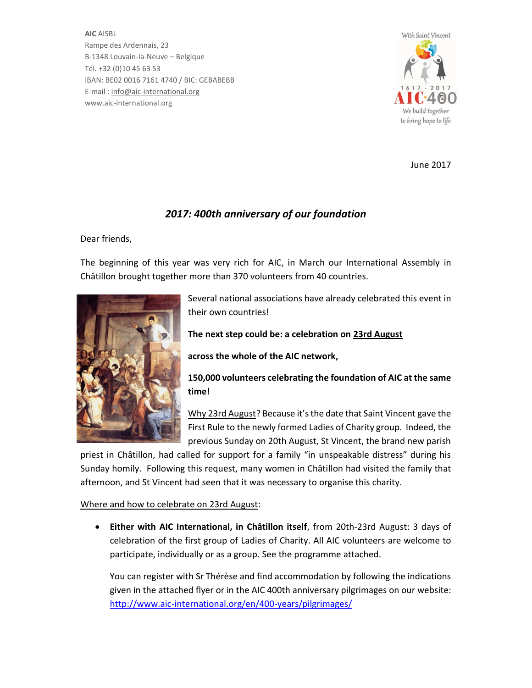**AIC** AISBL Rampe des Ardennais, 23 B-1348 Louvain-la-Neuve – Belgique Tél. +32 (0)10 45 63 53 IBAN: BE02 0016 7161 4740 / BIC: GEBABEBB E-mail : info@aic-international.org www.aic-international.org



June 2017

# *2017: 400th anniversary of our foundation*

Dear friends,

The beginning of this year was very rich for AIC, in March our International Assembly in Châtillon brought together more than 370 volunteers from 40 countries.



Several national associations have already celebrated this event in their own countries!

**The next step could be: a celebration on 23rd August**

**across the whole of the AIC network,** 

**150,000 volunteers celebrating the foundation of AIC at the same time!** 

Why 23rd August? Because it's the date that Saint Vincent gave the First Rule to the newly formed Ladies of Charity group. Indeed, the previous Sunday on 20th August, St Vincent, the brand new parish

priest in Châtillon, had called for support for a family "in unspeakable distress" during his Sunday homily. Following this request, many women in Châtillon had visited the family that afternoon, and St Vincent had seen that it was necessary to organise this charity.

## Where and how to celebrate on 23rd August:

x **Either with AIC International, in Châtillon itself**, from 20th-23rd August: 3 days of celebration of the first group of Ladies of Charity. All AIC volunteers are welcome to participate, individually or as a group. See the programme attached.

You can register with Sr Thérèse and find accommodation by following the indications given in the attached flyer or in the AIC 400th anniversary pilgrimages on our website: http://www.aic-international.org/en/400-years/pilgrimages/